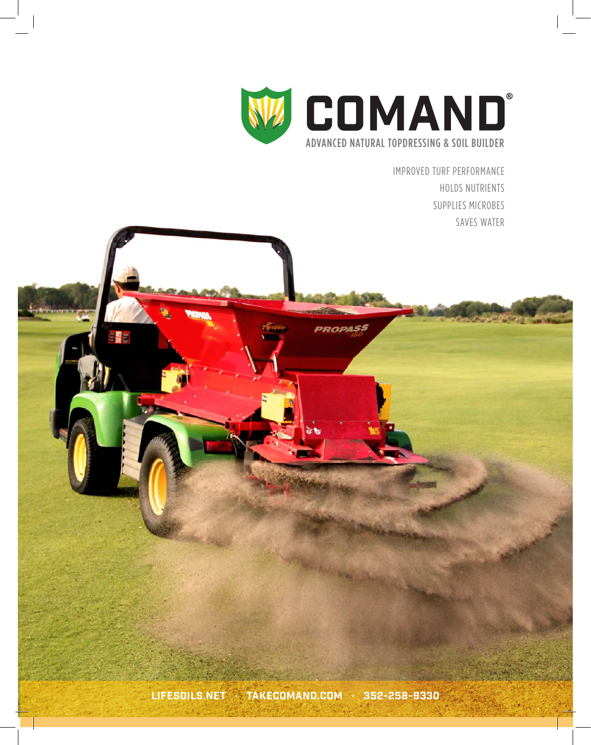

PROPASS

IMPROVED TURF PERFORMANCE HOLDS NUTRIENTS SUPPLIES MICROBES SAVES WATER

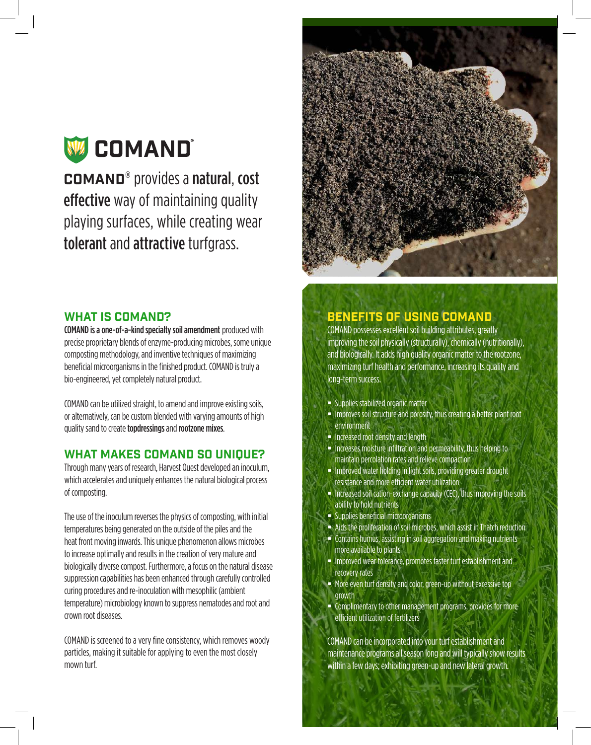# W COMAND®

COMAND® provides a natural, cost effective way of maintaining quality playing surfaces, while creating wear tolerant and attractive turfgrass.

#### WHAT IS COMAND?

COMAND is a one-of-a-kind specialty soil amendment produced with precise proprietary blends of enzyme-producing microbes, some unique composting methodology, and inventive techniques of maximizing beneficial microorganisms in the finished product. COMAND is truly a bio-engineered, yet completely natural product.

COMAND can be utilized straight, to amend and improve existing soils, or alternatively, can be custom blended with varying amounts of high quality sand to create topdressings and rootzone mixes.

#### WHAT MAKES COMAND SO UNIQUE?

Through many years of research, Harvest Quest developed an inoculum, which accelerates and uniquely enhances the natural biological process of composting.

The use of the inoculum reverses the physics of composting, with initial temperatures being generated on the outside of the piles and the heat front moving inwards. This unique phenomenon allows microbes to increase optimally and results in the creation of very mature and biologically diverse compost. Furthermore, a focus on the natural disease suppression capabilities has been enhanced through carefully controlled curing procedures and re-inoculation with mesophilic (ambient temperature) microbiology known to suppress nematodes and root and crown root diseases.

COMAND is screened to a very fine consistency, which removes woody particles, making it suitable for applying to even the most closely mown turf.



## Benefits of Using Comand

COMAND possesses excellent soil building attributes, greatly improving the soil physically (structurally), chemically (nutritionally), and biologically. It adds high quality organic matter to the rootzone, maximizing turf health and performance, increasing its quality and long-term success.

- Supplies stabilized organic matter
- **IMPROVER 1998** Improves soil structure and porosity, thus creating a better plant root environment
- **Increased root density and length**
- **Increases moisture infiltration and permeability, thus helping to** maintain percolation rates and relieve compaction
- **IMPROVED 19 Incording in light soils, providing greater drought** resistance and more efficient water utilization
- Increased soil cation-exchange capacity (CEC), thus improving the soils ability to hold nutrients
- **Supplies beneficial microorganisms**
- Aids the proliferation of soil microbes, which assist in Thatch reduction
- Contains humus, assisting in soil aggregation and making nutrients more available to plants
- **Improved wear tolerance, promotes faster turf establishment and** recovery rates
- **More even turf density and color, green-up without excessive top** growth
- Complimentary to other management programs, provides for more efficient utilization of fertilizers

COMAND can be incorporated into your turf establishment and maintenance programs all season long and will typically show results within a few days; exhibiting green-up and new lateral growth.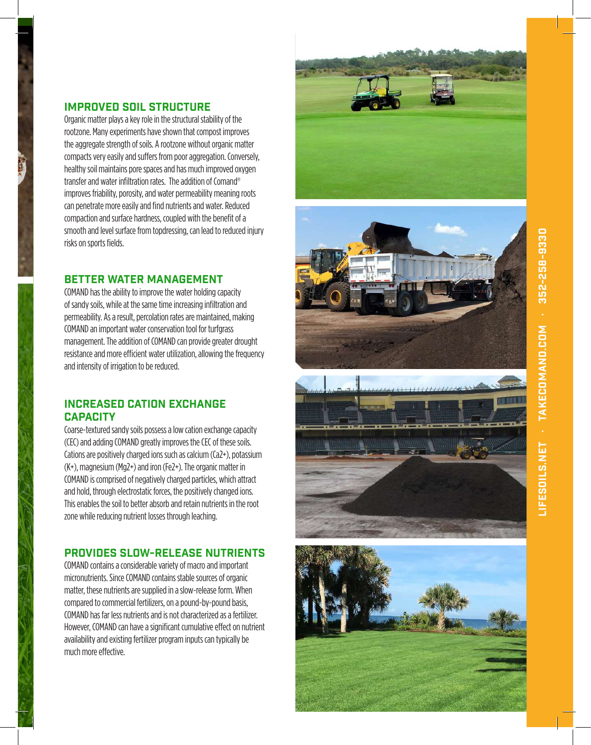# Improved Soil Structure

Organic matter plays a key role in the structural stability of the rootzone. Many experiments have shown that compost improves the aggregate strength of soils. A rootzone without organic matter compacts very easily and suffers from poor aggregation. Conversely, healthy soil maintains pore spaces and has much improved oxygen transfer and water infiltration rates. The addition of Comand® improves friability, porosity, and water permeability meaning roots can penetrate more easily and find nutrients and water. Reduced compaction and surface hardness, coupled with the benefit of a smooth and level surface from topdressing, can lead to reduced injury risks on sports fields.

## Better Water Management

COMAND has the ability to improve the water holding capacity of sandy soils, while at the same time increasing infiltration and permeability. As a result, percolation rates are maintained, making COMAND an important water conservation tool for turfgrass management. The addition of COMAND can provide greater drought resistance and more efficient water utilization, allowing the frequency and intensity of irrigation to be reduced.

### Increased Cation Exchange **CAPACITY**

Coarse-textured sandy soils possess a low cation exchange capacity (CEC) and adding COMAND greatly improves the CEC of these soils. Cations are positively charged ions such as calcium (Ca2+), potassium (K+), magnesium (Mg2+) and iron (Fe2+). The organic matter in COMAND is comprised of negatively charged particles, which attract and hold, through electrostatic forces, the positively changed ions. This enables the soil to better absorb and retain nutrients in the root zone while reducing nutrient losses through leaching.

## Provides Slow-Release Nutrients

COMAND contains a considerable variety of macro and important micronutrients. Since COMAND contains stable sources of organic matter, these nutrients are supplied in a slow-release form. When compared to commercial fertilizers, on a pound-by-pound basis, COMAND has far less nutrients and is not characterized as a fertilizer. However, COMAND can have a significant cumulative effect on nutrient availability and existing fertilizer program inputs can typically be much more effective.